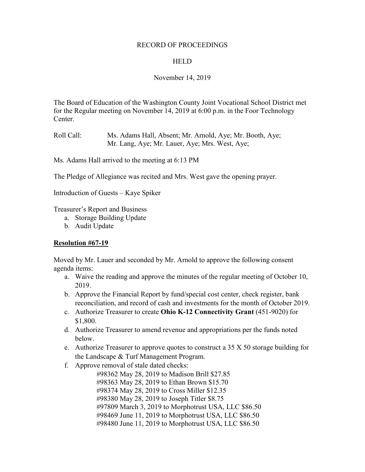#### RECORD OF PROCEEDINGS

### **HELD**

## November 14, 2019

The Board of Education of the Washington County Joint Vocational School District met for the Regular meeting on November 14, 2019 at 6:00 p.m. in the Foor Technology Center.

Roll Call: Ms. Adams Hall, Absent; Mr. Arnold, Aye; Mr. Booth, Aye; Mr. Lang, Aye; Mr. Lauer, Aye; Mrs. West, Aye;

Ms. Adams Hall arrived to the meeting at 6:13 PM

The Pledge of Allegiance was recited and Mrs. West gave the opening prayer.

Introduction of Guests – Kaye Spiker

Treasurer's Report and Business

- a. Storage Building Update
- b. Audit Update

#### **Resolution #67-19**

Moved by Mr. Lauer and seconded by Mr. Arnold to approve the following consent agenda items:

- a. Waive the reading and approve the minutes of the regular meeting of October 10, 2019.
- b. Approve the Financial Report by fund/special cost center, check register, bank reconciliation, and record of cash and investments for the month of October 2019.
- c. Authorize Treasurer to create **Ohio K-12 Connectivity Grant** (451-9020) for \$1,800.
- d. Authorize Treasurer to amend revenue and appropriations per the funds noted below.
- e. Authorize Treasurer to approve quotes to construct a  $35 X 50$  storage building for the Landscape & Turf Management Program.
- f. Approve removal of stale dated checks:

#98362 May 28, 2019 to Madison Brill \$27.85 #98363 May 28, 2019 to Ethan Brown \$15.70 #98374 May 28, 2019 to Cross Miller \$12.35 #98380 May 28, 2019 to Joseph Titler \$8.75 #97809 March 3, 2019 to Morphotrust USA, LLC \$86.50 #98469 June 11, 2019 to Morphotrust USA, LLC \$86.50 #98480 June 11, 2019 to Morphotrust USA, LLC \$86.50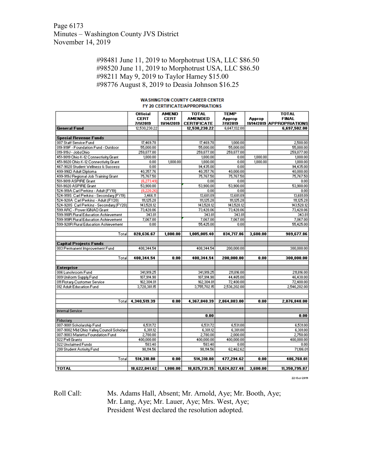Page 6173 Minutes – Washington County JVS District November 14, 2019

> #98481 June 11, 2019 to Morphotrust USA, LLC \$86.50 #98520 June 11, 2019 to Morphotrust USA, LLC \$86.50 #98211 May 9, 2019 to Taylor Harney \$15.00 #98776 August 8, 2019 to Deasia Johnson \$16.25

|                                           | <b>Official</b> | <b>AMEND</b> | <b>TOTAL</b>       | <b>TEMP</b>                 |          | <b>TOTAL</b>              |
|-------------------------------------------|-----------------|--------------|--------------------|-----------------------------|----------|---------------------------|
|                                           | <b>CERT</b>     | <b>CERT</b>  | <b>AMENDED</b>     | Approp                      | Approp   | <b>FINAL</b>              |
|                                           | 7/1/2019        | 11/14/2019   | <b>CERTIFICATE</b> | 7/1/2019                    |          | 11/14/2019 APPROPRIATIONS |
| <b>General Fund</b>                       | 12,530,230.22   |              | 12,530,230.22      | 6,647,132.00                |          | 6,697,502.00              |
|                                           |                 |              |                    |                             |          |                           |
| <b>Special Revenue Funds</b>              |                 |              |                    |                             |          |                           |
| 007 Staff Service Fund                    | 17,469.78       |              | 17,469.78          | 1,000.00                    |          | 2,500.00                  |
| 019-919F - Foundation Fund - Outdoor      | 55,000.00       |              | 55,000.00          | 55,000.00                   |          | 55,000.00                 |
| 019-919J - JobsOhio                       | 259,877.00      |              | 259,877.00         | 259,877.00                  |          | 259,877.00                |
| 451-9019 Ohio K-12 Connectivity Grant     | 1,800.00        |              | 1,800.00           | 0.00                        | 1,800.00 | 1,800.00                  |
| 451-9020 Ohio K-12 Connectivity Grant     | 0.00            | 1,800.00     | 1,800.00           | 0.00                        | 1,800.00 | 1,800.00                  |
| 467-9020 Student Wellness & Success       | 0.00            |              | 94,435.00          | 0.00                        |          | 94,435.00                 |
| 499-916D Adult Diploma                    | 40,357.76       |              | 40,357.76          | 40,000.00                   |          | 40,000.00                 |
| 499-919J Regional Job Training Grant      | 75,767.50       |              | 75,767.50          | 75,767.50                   |          | 75,767.50                 |
| 501-9019 ASPIRE Grant                     | (6, 273.49)     |              | 0.00               | 0.00                        |          | 0.00                      |
| 501-9020 ASPIRE Grant                     | 53,900.00       |              | 53,900.00          | 53,900.00                   |          | 53,900.00                 |
| 524-919A Carl Perkins - Adult (FY19)      | (8,220.26)      |              | 0.00               | 0.00                        |          | 0.00                      |
| 524-919S Carl Perkins - Secondary (FY19)  | 3,466.11        |              | 13,681.09          | 13,681.09                   |          | 13,681.09                 |
| 524-920A Carl Perkins - Adult (FY20)      | 111,125.28      |              | 111,125.28         | 111,125.28                  |          | 111,125.28                |
| 524-920S Carl Perkins - Secondary (FY20)  | 143,528.12      |              | 143,528.12         | 143,528.12                  |          | 143,528.12                |
| 599 ARC - Power IGNAO Grant               | 73,428.06       |              | 73,428.06          | 73,428.06                   |          | 73,428.06                 |
| 599-918R Rural Education Achievement      | 343.81          |              | 343.81             | 343.81                      |          | 343.81                    |
| 599-919R Rural Education Achievement      | 7,067.00        |              | 7,067.00           | 7,067.00                    |          | 7,067.00                  |
| 599-920R Rural Education Achievement      | 0.00            |              | 55,425.00          | 0.00                        |          | 55,425.00                 |
|                                           |                 |              |                    |                             |          |                           |
| Total                                     | 828,636.67      | 1,800.00     | 1,005,005.40       | 834,717.86                  | 3,600.00 | 989,677.86                |
|                                           |                 |              |                    |                             |          |                           |
| <b>Capital Projects Funds</b>             |                 |              |                    |                             |          |                           |
| 003 Permanent Improvement Fund            | 408,344.54      |              | 408,344.54         | 200,000.00                  |          | 300,000.00                |
|                                           |                 |              |                    |                             |          |                           |
| Total                                     | 408,344.54      | 0.00         | 408,344.54         | 200,000.00                  | 0.00     | 300,000.00                |
|                                           |                 |              |                    |                             |          |                           |
| <b>Enterprise</b>                         |                 |              |                    |                             |          |                           |
| 006 Lunchroom Fund                        | 341,919.25      |              | 341,919.25         | 211,816.00                  |          | 211,816.00                |
| 009 Uniform Supply Fund                   | 107,914.98      |              | 107,914.98         | 44,465.00                   |          | 46,430.00                 |
| 011 Rotary-Customer Service               | 162,304.01      |              | 162,304.01         | 72,400.00                   |          | 72,400.00                 |
| 012 Adult Education Fund                  | 3,728,381.15    |              | 3,755,702.15       | 2,536,202.00                |          | 2,546,202.00              |
|                                           |                 |              |                    |                             |          |                           |
|                                           |                 |              |                    |                             |          |                           |
| Totall                                    | 4,340,519.39    | 0.00         | 4,367,840.39       | 2,864,883.00                | 0.00     | 2,876,848.00              |
|                                           |                 |              |                    |                             |          |                           |
| <b>Internal Service</b>                   |                 |              | 0.00               |                             |          | 0.00                      |
| Fiduciary                                 |                 |              |                    |                             |          |                           |
| 007-9001 Scholarship Fund                 | 6,531.72        |              | 6,531.72           | 6,531.00                    |          | 6,531.00                  |
| 007-9002 Mid Ohio Valley Council Scholars | 6,301.12        |              | 6,301.12           | 6,301.00                    |          | 6,301.00                  |
| 007-9003 Marietta Foundation Fund         | 2,780.00        |              | 2,780.00           | 2,000.00                    |          | 2,750.00                  |
| 022 Pell Grants                           | 400,000.00      |              | 400,000.00         | 400,000.00                  |          | 400,000.00                |
| 022 Unclaimed Funds                       | 583.40          |              |                    | 0.00                        |          |                           |
|                                           |                 |              | 583.40             |                             |          | 0.00                      |
| 200 Student Activity Fund                 | 98,114.56       |              | 98,114.56          | 62,462.62                   |          | 71,186.01                 |
| Total                                     | 514,310.80      | 0.00         | 514,310.80         | 477,294.62                  | 0.00     | 486,768.01                |
|                                           |                 |              |                    |                             |          |                           |
| <b>TOTAL</b>                              | 18.622.041.62   | 1.800.00     |                    | 18.825.731.35 11.024.027.48 | 3.600.00 | 11.350.795.87             |

#### **WASHINGTON COUNTY CAREER CENTER** FY 20 CERTIFICATE/APPROPRIATIONS

22-Oct-2019

Roll Call: Ms. Adams Hall, Absent; Mr. Arnold, Aye; Mr. Booth, Aye; Mr. Lang, Aye; Mr. Lauer, Aye; Mrs. West, Aye; President West declared the resolution adopted.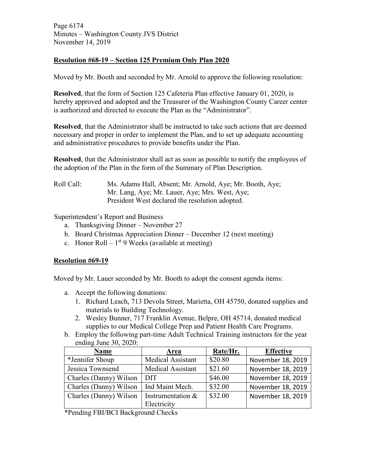Page 6174 Minutes – Washington County JVS District November 14, 2019

## **Resolution #68-19 – Section 125 Premium Only Plan 2020**

Moved by Mr. Booth and seconded by Mr. Arnold to approve the following resolution:

**Resolved**, that the form of Section 125 Cafeteria Plan effective January 01, 2020, is hereby approved and adopted and the Treasurer of the Washington County Career center is authorized and directed to execute the Plan as the "Administrator".

**Resolved**, that the Administrator shall be instructed to take such actions that are deemed necessary and proper in order to implement the Plan, and to set up adequate accounting and administrative procedures to provide benefits under the Plan.

**Resolved**, that the Administrator shall act as soon as possible to notify the employees of the adoption of the Plan in the form of the Summary of Plan Description.

Roll Call: Ms. Adams Hall, Absent; Mr. Arnold, Aye; Mr. Booth, Aye; Mr. Lang, Aye; Mr. Lauer, Aye; Mrs. West, Aye; President West declared the resolution adopted.

Superintendent's Report and Business

- a. Thanksgiving Dinner November 27
- b. Board Christmas Appreciation Dinner December 12 (next meeting)
- c. Honor Roll  $1^{st}$  9 Weeks (available at meeting)

## **Resolution #69-19**

Moved by Mr. Lauer seconded by Mr. Booth to adopt the consent agenda items:

- a. Accept the following donations:
	- 1. Richard Leach, 713 Devola Street, Marietta, OH 45750, donated supplies and materials to Building Technology.
	- 2. Wesley Bunner, 717 Franklin Avenue, Belpre, OH 45714, donated medical supplies to our Medical College Prep and Patient Health Care Programs.
- b. Employ the following part-time Adult Technical Training instructors for the year ending June 30, 2020:

| <b>Name</b>            | Area                     | Rate/Hr. | <b>Effective</b>  |
|------------------------|--------------------------|----------|-------------------|
| *Jennifer Shoup        | Medical Assistant        | \$20.80  | November 18, 2019 |
| Jessica Townsend       | <b>Medical Assistant</b> | \$21.60  | November 18, 2019 |
| Charles (Danny) Wilson | <b>DIT</b>               | \$46.00  | November 18, 2019 |
| Charles (Danny) Wilson | Ind Maint Mech.          | \$32.00  | November 18, 2019 |
| Charles (Danny) Wilson | Instrumentation &        | \$32.00  | November 18, 2019 |
|                        | Electricity              |          |                   |

\*Pending FBI/BCI Background Checks